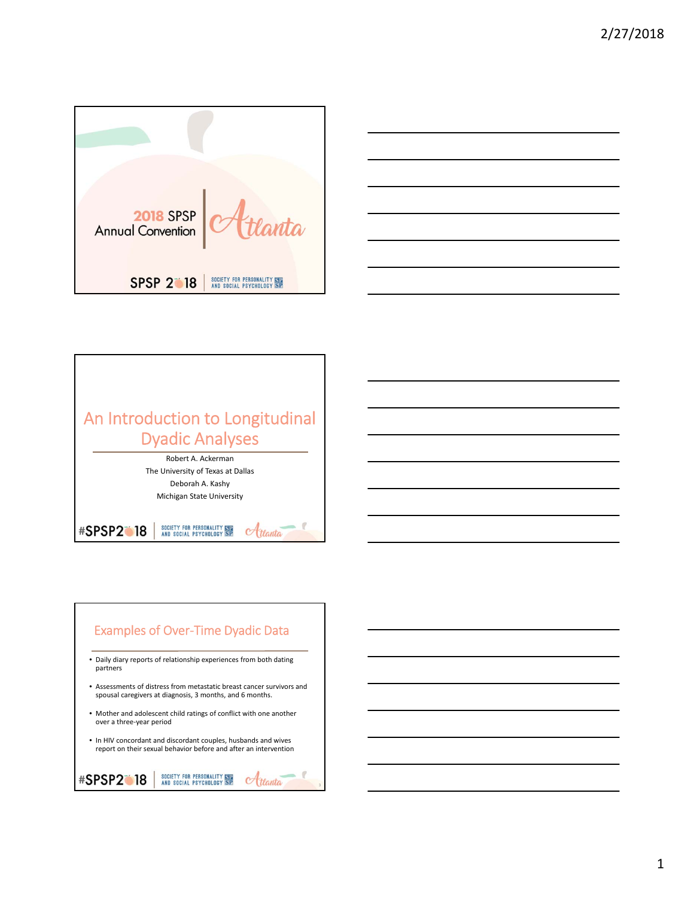





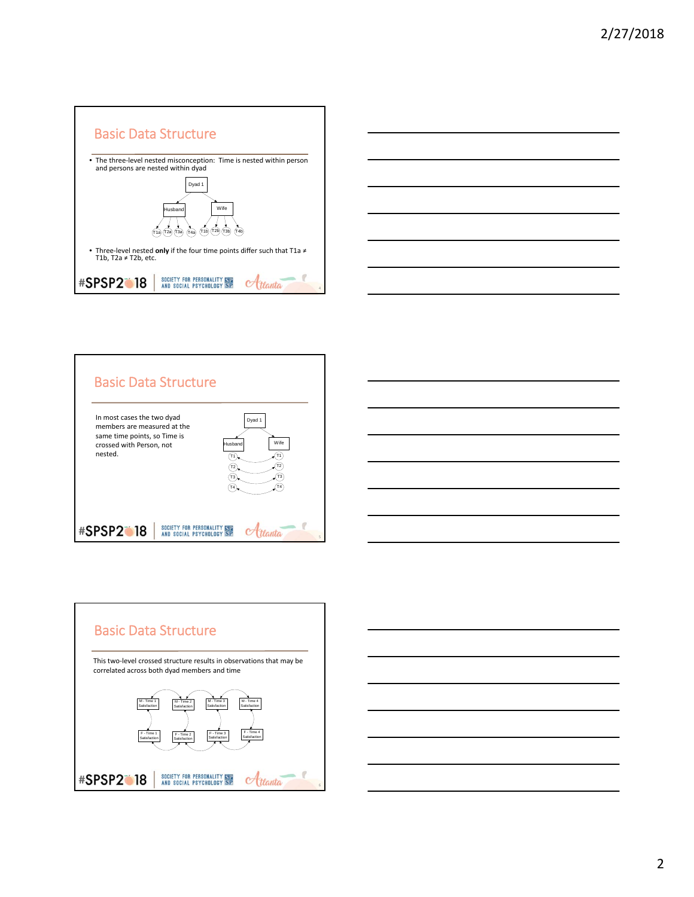









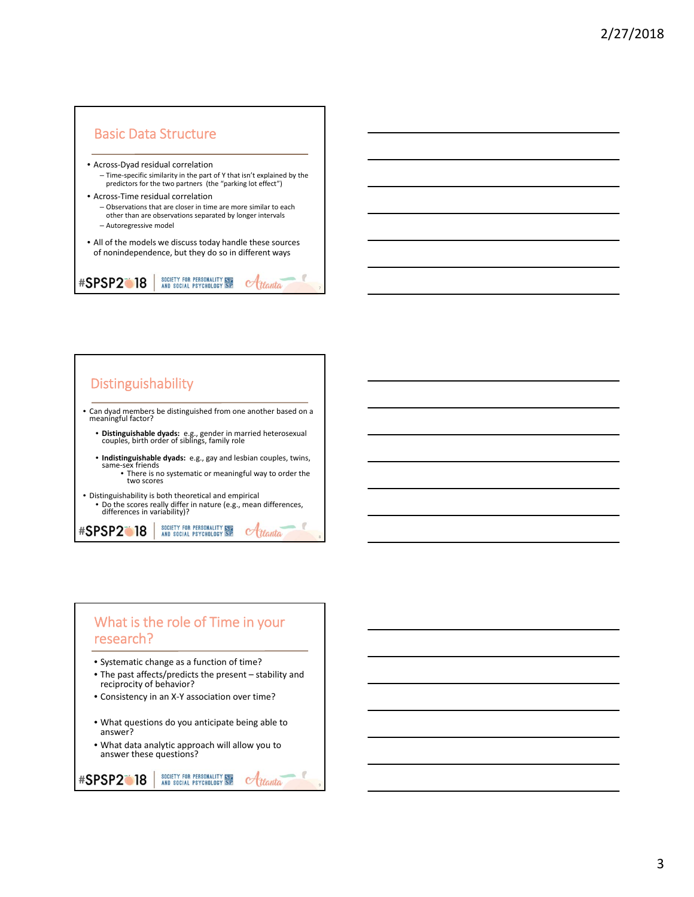



8

9

## What is the role of Time in your research?

- Systematic change as a function of time?
- The past affects/predicts the present stability and reciprocity of behavior?
- Consistency in an X‐Y association over time?
- What questions do you anticipate being able to answer?
- What data analytic approach will allow you to answer these questions?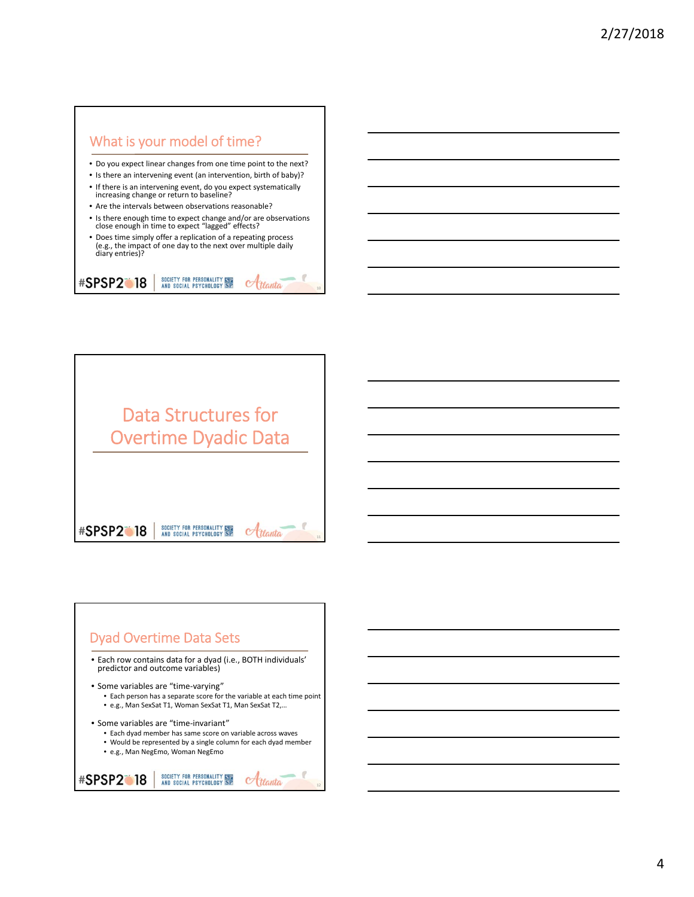



## Dyad Overtime Data Sets

• Each row contains data for a dyad (i.e., BOTH individuals' predictor and outcome variables)

• Some variables are "time‐varying"

- Each person has a separate score for the variable at each time point • e.g., Man SexSat T1, Woman SexSat T1, Man SexSat T2,…
- Some variables are "time‐invariant"
	- Each dyad member has same score on variable across waves
	- Would be represented by a single column for each dyad member
	- e.g., Man NegEmo, Woman NegEmo

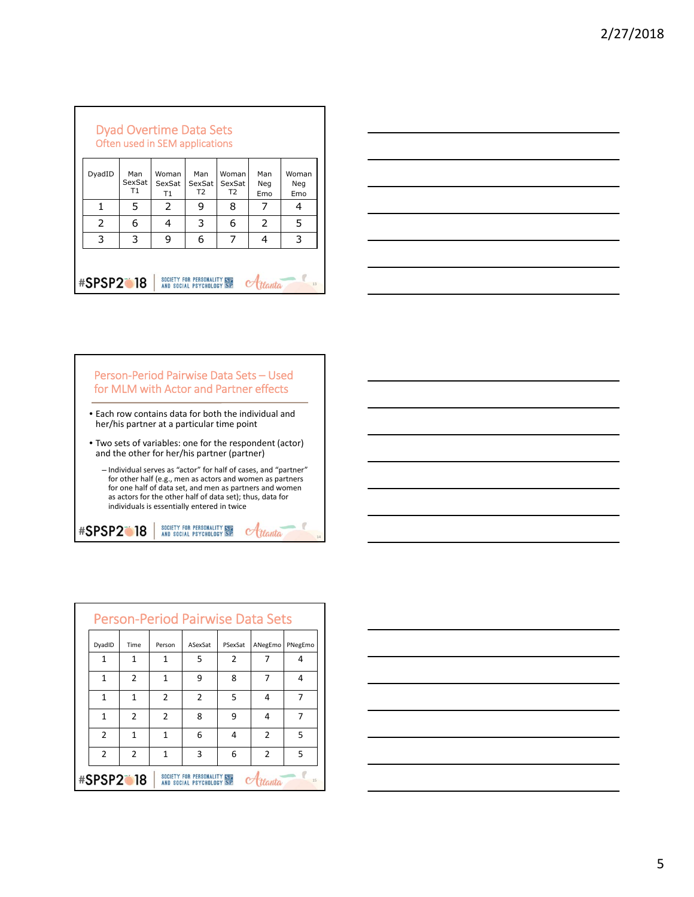|                  |                     | <b>Dyad Overtime Data Sets</b><br>Often used in SEM applications |                                 |                                   |                   |                     |  |
|------------------|---------------------|------------------------------------------------------------------|---------------------------------|-----------------------------------|-------------------|---------------------|--|
| DyadID           | Man<br>SexSat<br>T1 | Woman<br>SexSat<br>T1                                            | Man<br>SexSat<br>T <sub>2</sub> | Woman<br>SexSat<br>T <sub>2</sub> | Man<br>Neg<br>Emo | Woman<br>Neg<br>Emo |  |
|                  | 5                   | 2                                                                | 9                               | 8                                 | 7                 | 4                   |  |
| 2                | 6                   | 4                                                                | 3                               | 6                                 | 2                 | 5                   |  |
| 3                | 3                   | 9                                                                | 6                               | 7                                 | 4                 | 3                   |  |
| <b>#SPSP2018</b> |                     |                                                                  | SOCIETY FOR PERSONALITY STE     |                                   |                   | 13                  |  |

٦





- Individual serves as "actor" for half of cases, and "partner"<br>for other half (e.g., men as actors and women as partners<br>for one half of data set, and men as partners and women<br>as actors for the other half of data set); individuals is essentially entered in twice

**#SPSP2018** SOCIETY FOR PERSONALITY SEE<br>AND SOCIAL PSYCHOLOGY SP  $\alpha$ ttanta

|                  |                |        | <b>Person-Period Pairwise Data Sets</b>                         |         |                |         |
|------------------|----------------|--------|-----------------------------------------------------------------|---------|----------------|---------|
| DyadID           | Time           | Person | ASexSat                                                         | PSexSat | ANegEmo        | PNegEmo |
| 1                | 1              | 1      | 5                                                               | 2       |                | 4       |
| 1                | $\overline{2}$ | 1      | 9                                                               | 8       | 7              | 4       |
| 1                | 1              | 2      | $\overline{2}$                                                  | 5       | 4              | 7       |
| 1                | $\mathfrak{p}$ | 2      | 8                                                               | 9       | 4              | 7       |
| $\overline{2}$   | 1              | 1      | 6                                                               | 4       | 2              | 5       |
| $\overline{2}$   | $\mathcal{P}$  | 1      | 3                                                               | 6       | $\overline{2}$ | 5       |
| <b>#SPSP2018</b> |                |        | <b>SOCIETY FOR PERSONALITY ISTE</b><br>AND SOCIAL PSYCHOLOGY SP |         |                | 15      |

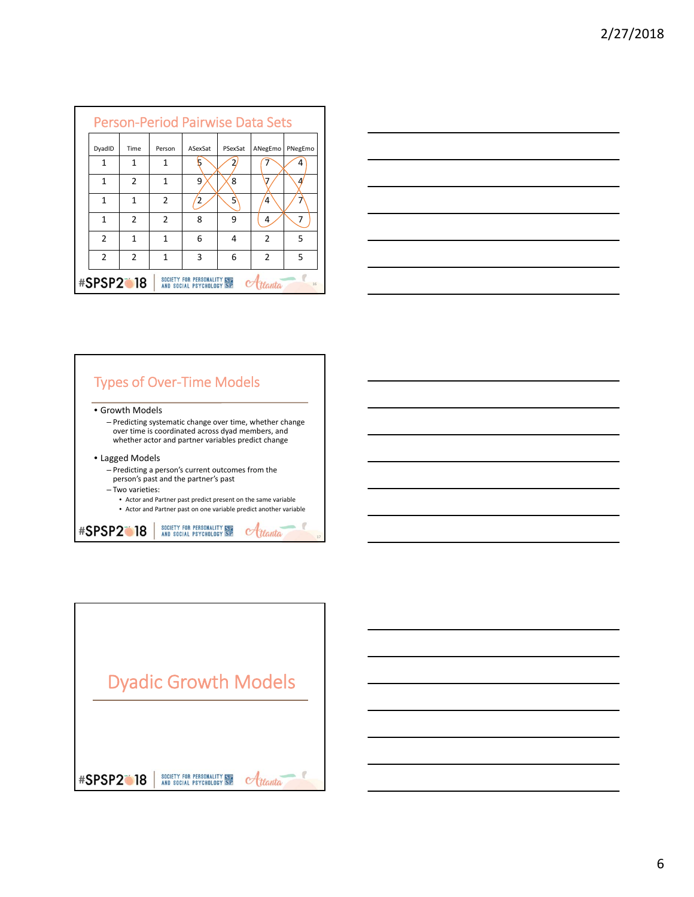|                  |               |                | <b>Person-Period Pairwise Data Sets</b> |         |                |         |
|------------------|---------------|----------------|-----------------------------------------|---------|----------------|---------|
| DyadID           | Time          | Person         | ASexSat                                 | PSexSat | ANegEmo        | PNegEmo |
| 1                | 1             | 1              |                                         |         |                | 4       |
| 1                | 2             | 1              | q                                       | 8       |                | Δ.      |
| 1                | 1             | 2              |                                         | 5       | 4              | 7       |
| 1                | $\mathfrak z$ | $\mathfrak{p}$ | 8                                       | 9       | 4              | 7       |
| $\overline{2}$   | 1             | 1              | 6                                       | 4       | $\overline{2}$ | 5       |
| $\overline{2}$   | 2             | 1              | 3                                       | 6       | $\mathfrak z$  | 5       |
| <b>#SPSP2 18</b> |               |                | SOCIETY FOR PERSONALITY SEE             |         | anta           | 16      |



# Types of Over‐Time Models

- Growth Models
	- Predicting systematic change over time, whether change over time is coordinated across dyad members, and whether actor and partner variables predict change
- Lagged Models
	- Predicting a person's current outcomes from the person's past and the partner's past
	-
	- Two varieties:
		- Actor and Partner past predict present on the same variable • Actor and Partner past on one variable predict another variable



Dyadic Growth Models $A_{t}$ SOCIETY FOR PERSONALITY **ISB**<br>AND SOCIAL PSYCHOLOGY **SP #SPSP2018**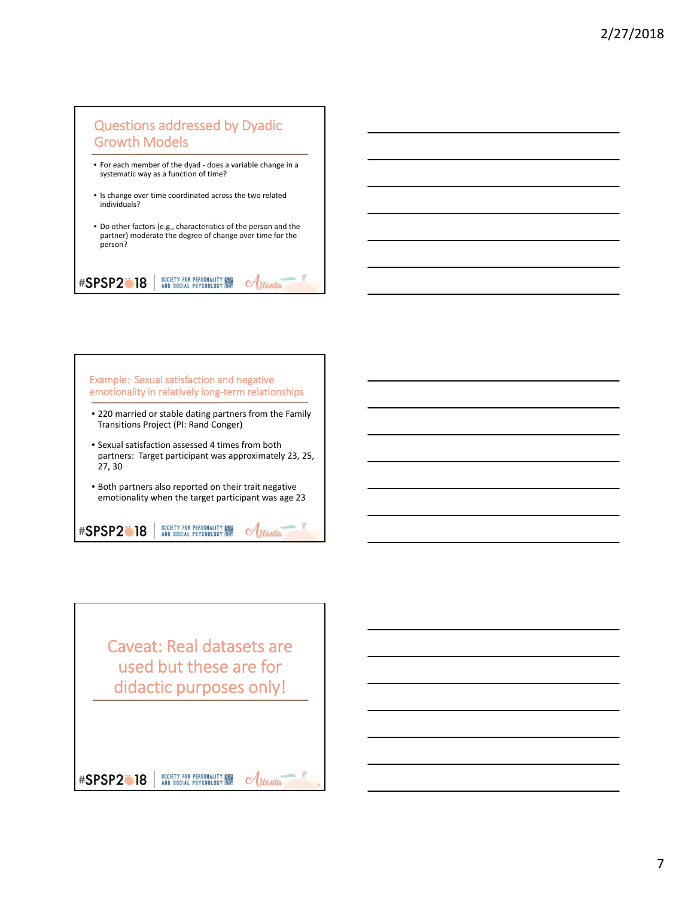

SOCIETY FOR PERSONALITY SEE<br>AND SOCIAL PSYCHOLOGY SP

 $\sigma$ ttanta

**#SPSP2018** 



Caveat: Real datasets are used but these are for didactic purposes only!

21

SOCIETY FOR PERSONALITY ISLAND SOCIAL PSYCHOLOGY SP **#SPSP2018**  $\alpha$ ttanta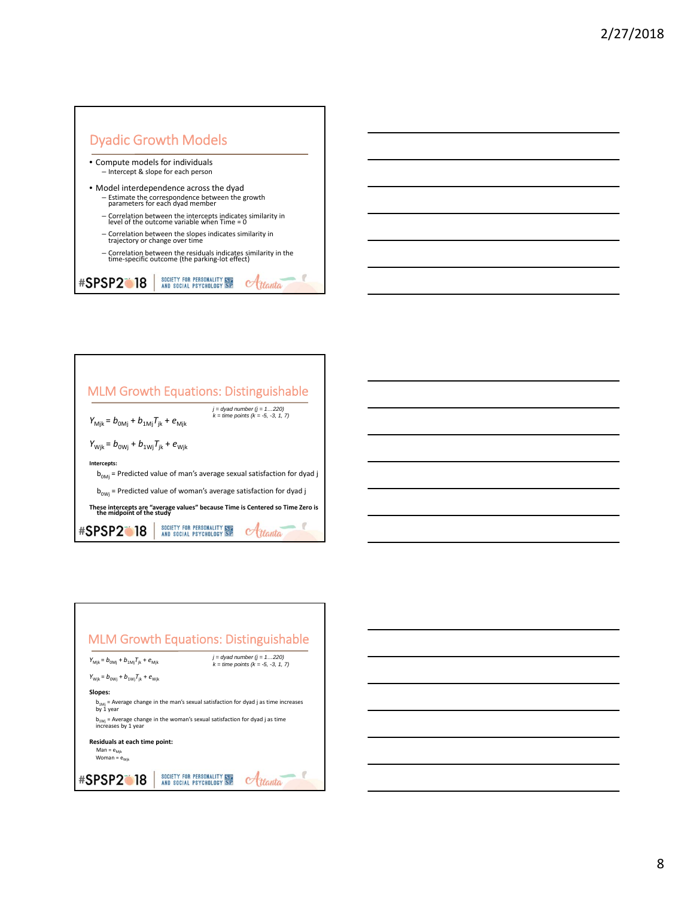



| <b>MLM Growth Equations: Distinguishable</b>                                      |                                                                                |
|-----------------------------------------------------------------------------------|--------------------------------------------------------------------------------|
| $Y_{\text{Mjk}} = b_{\text{0Mj}} + b_{\text{1Mj}} T_{\text{jk}} + e_{\text{Mjk}}$ | $i =$ dyad number ( $i = 1220$ )<br>$k =$ time points $(k = -5, -3, 1, 7)$     |
| $Y_{\text{Wjk}} = b_{0\text{Wj}} + b_{1\text{Wj}}T_{\text{jk}} + e_{\text{Wjk}}$  |                                                                                |
| Intercepts:                                                                       | $bOMi$ = Predicted value of man's average sexual satisfaction for dyad j       |
| $b_{\text{0wi}}$ = Predicted value of woman's average satisfaction for dyad j     |                                                                                |
| the midpoint of the study                                                         | These intercepts are "average values" because Time is Centered so Time Zero is |
| ●18<br><b>SOCIAL PSYCHO</b>                                                       |                                                                                |

Г



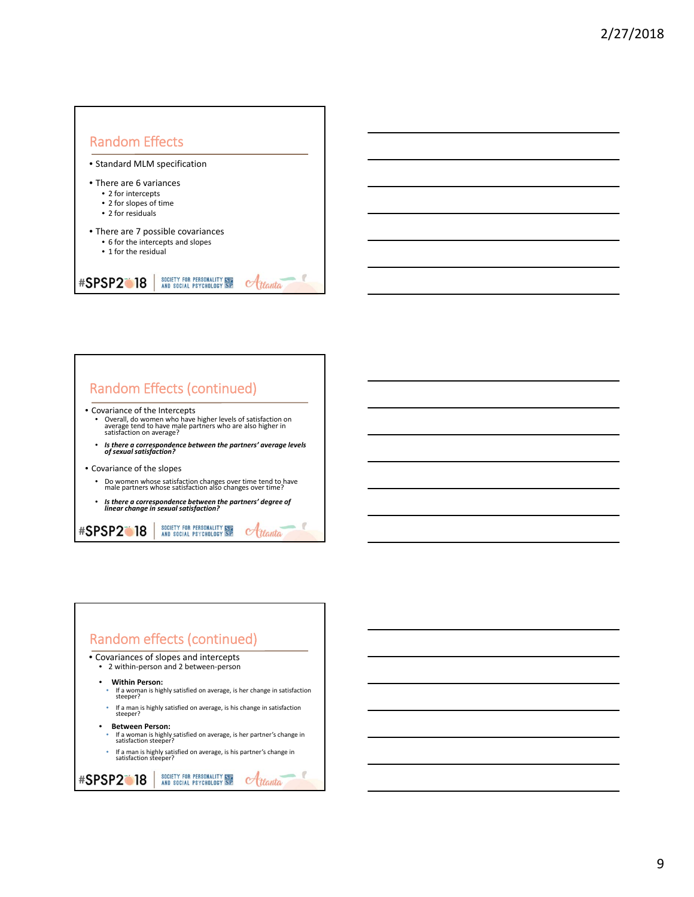



# Random effects (continued) • Covariances of slopes and intercepts • <sup>2</sup> within‐person and <sup>2</sup> between‐person • **Within Person:** • If <sup>a</sup> woman is highly satisfied on average, is her change in satisfaction steeper?

- If <sup>a</sup> man is highly satisfied on average, is his change in satisfaction steeper?
- **Between Person:**
- If <sup>a</sup> woman is highly satisfied on average, is her partner's change in satisfaction steeper?
- If a man is highly satisfied on average, is his partner's change in<br>satisfaction steeper?

### SOCIETY FOR PERSONALITY SEE<br>AND SOCIAL PSYCHOLOGY SP **#SPSP2018**  $\alpha$ ttanta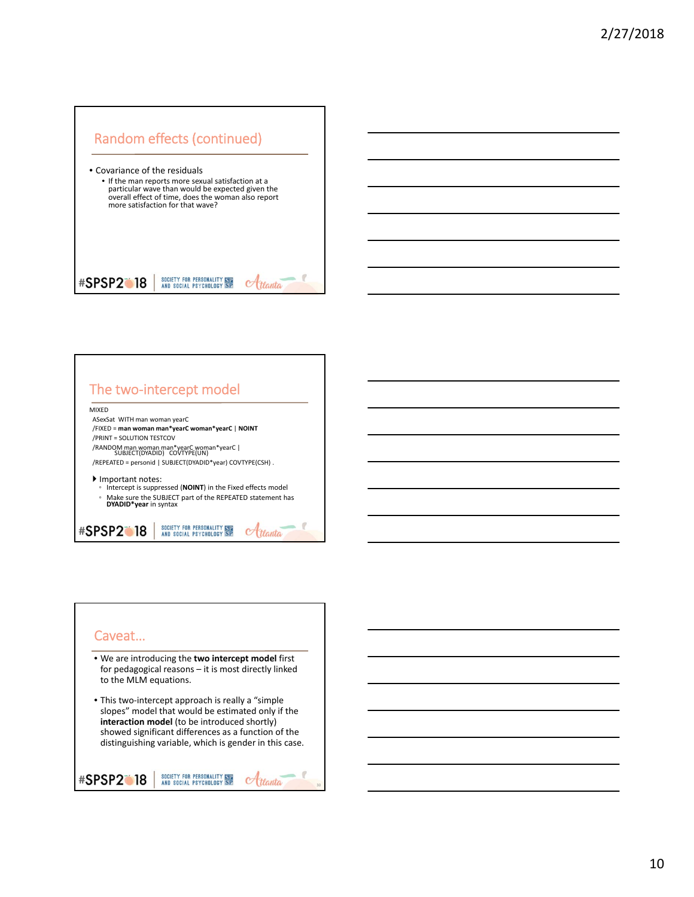# Random effects (continued)



| <b>MIXFD</b> |                                                                          |  |                                                            |
|--------------|--------------------------------------------------------------------------|--|------------------------------------------------------------|
|              | ASexSat WITH man woman yearC                                             |  |                                                            |
|              | /FIXED = man woman man*yearC woman*yearC   NOINT                         |  |                                                            |
|              | /PRINT = SOLUTION TESTCOV                                                |  |                                                            |
|              | /RANDOM man woman man*yearC woman*yearC  <br>SUBJECT(DYADID) COVTYPE(UN) |  |                                                            |
|              | /REPEATED = personid   SUBJECT(DYADID*year) COVTYPE(CSH).                |  |                                                            |
| $\circ$      | Important notes:                                                         |  | Intercept is suppressed (NOINT) in the Fixed effects model |
| o            | DYADID*year in syntax                                                    |  | Make sure the SUBJECT part of the REPEATED statement has   |

### Caveat…

- We are introducing the **two intercept model** first for pedagogical reasons – it is most directly linked to the MLM equations.
- This two‐intercept approach is really a "simple slopes" model that would be estimated only if the **interaction model** (to be introduced shortly) showed significant differences as a function of the distinguishing variable, which is gender in this case.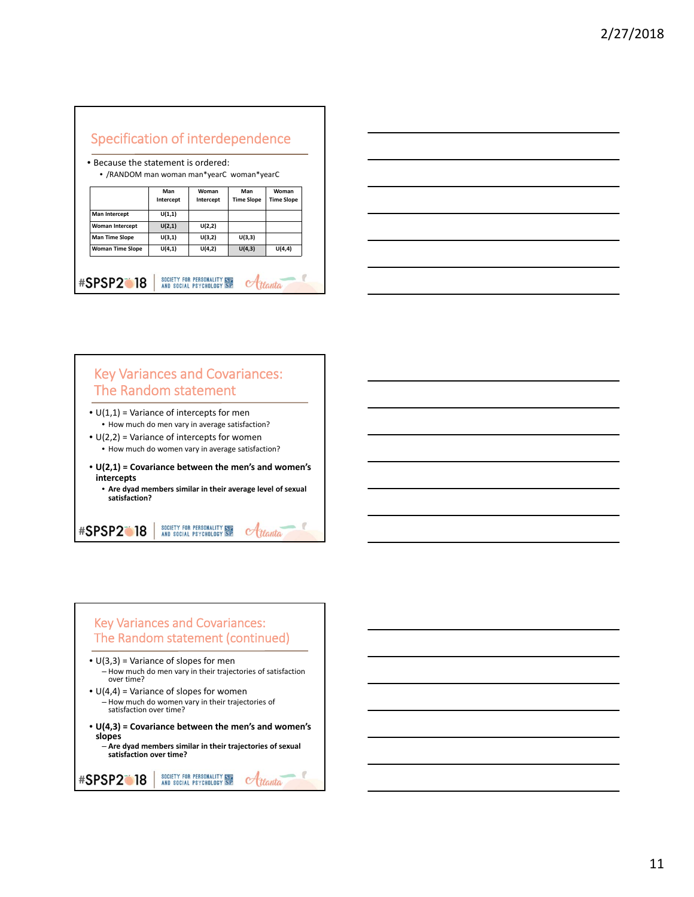| • Because the statement is ordered:<br>• /RANDOM man woman man*yearC woman*yearC |           |                                     |                   |                   |  |  |  |
|----------------------------------------------------------------------------------|-----------|-------------------------------------|-------------------|-------------------|--|--|--|
|                                                                                  | Man       | <b>Woman</b><br>Man<br><b>Woman</b> |                   |                   |  |  |  |
|                                                                                  | Intercept | Intercept                           | <b>Time Slope</b> | <b>Time Slope</b> |  |  |  |
| Man Intercept                                                                    | U(1,1)    |                                     |                   |                   |  |  |  |
| <b>Woman Intercept</b>                                                           | U(2,1)    | U(2,2)                              |                   |                   |  |  |  |
| <b>Man Time Slope</b>                                                            | U(3,1)    | U(3,2)                              | U(3,3)            |                   |  |  |  |
| <b>Woman Time Slope</b>                                                          | U(4,1)    | U(4,2)                              | U(4,3)            | U(4,4)            |  |  |  |



## Key Variances and Covariances: The Random statement

- $\bullet$  U(1,1) = Variance of intercepts for men • How much do men vary in average satisfaction?
- $\bullet$  U(2,2) = Variance of intercepts for women • How much do women vary in average satisfaction?
- **U(2,1) = Covariance between the men's and women's intercepts**
	- **Are dyad members similar in their average level of sexual satisfaction?**

SOCIETY FOR PERSONALITY SEE<br>AND SOCIAL PSYCHOLOGY SP **#SPSP2018**  $\alpha$ ttanta

### Key Variances and Covariances: The Random statement (continued)

- $\bullet$  U(3,3) = Variance of slopes for men – How much do men vary in their trajectories of satisfaction over time?
- $\bullet$  U(4,4) = Variance of slopes for women – How much do women vary in their trajectories of satisfaction over time?
- **U(4,3) = Covariance between the men's and women's slopes** – **Are dyad members similar in their trajectories of sexual**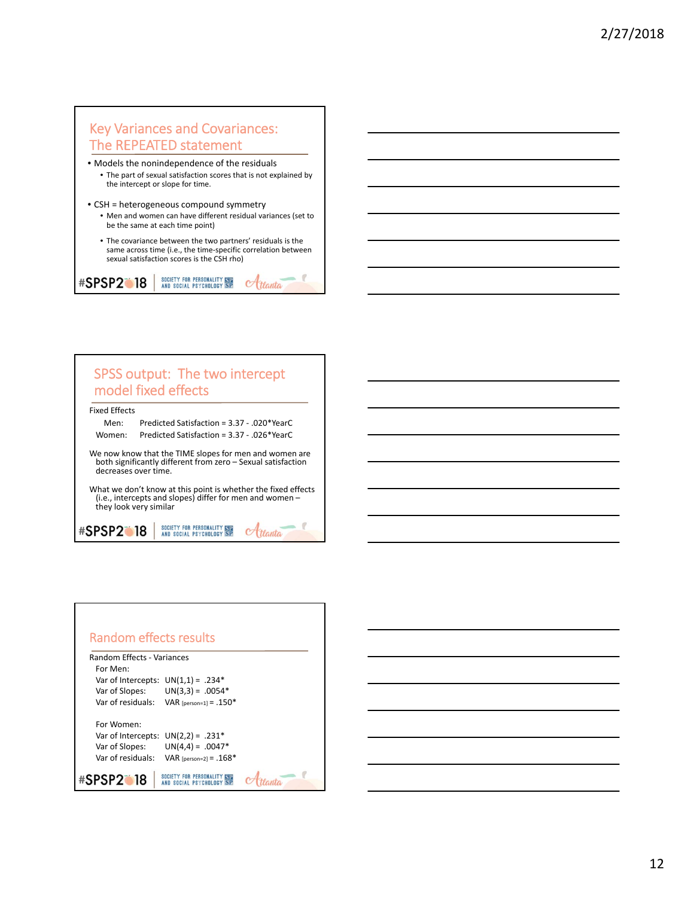## Key Variances and Covariances: The REPEATED statement

- Models the nonindependence of the residuals • The part of sexual satisfaction scores that is not explained by the intercept or slope for time.
- CSH = heterogeneous compound symmetry

**#SPSP2018** 

- Men and women can have different residual variances (set to be the same at each time point)
- The covariance between the two partners' residuals is the same across time (i.e., the time‐specific correlation between sexual satisfaction scores is the CSH rho)

 $C$ tlanta

SOCIETY FOR PERSONALITY SEE<br>AND SOCIAL PSYCHOLOGY SP



| Random effects results               |                          |  |
|--------------------------------------|--------------------------|--|
| Random Effects - Variances           |                          |  |
| For Men:                             |                          |  |
| Var of Intercepts: $UN(1,1) = .234*$ |                          |  |
| Var of Slopes:                       | $UN(3,3) = .0054*$       |  |
| Var of residuals:                    | VAR [person=1] = .150*   |  |
| For Women:                           |                          |  |
| Var of Intercepts: $UN(2,2) = .231*$ |                          |  |
| Var of Slopes:                       | $UN(4,4) = .0047*$       |  |
| Var of residuals:                    | VAR [person=2] = $.168*$ |  |
| #SPSP2                               |                          |  |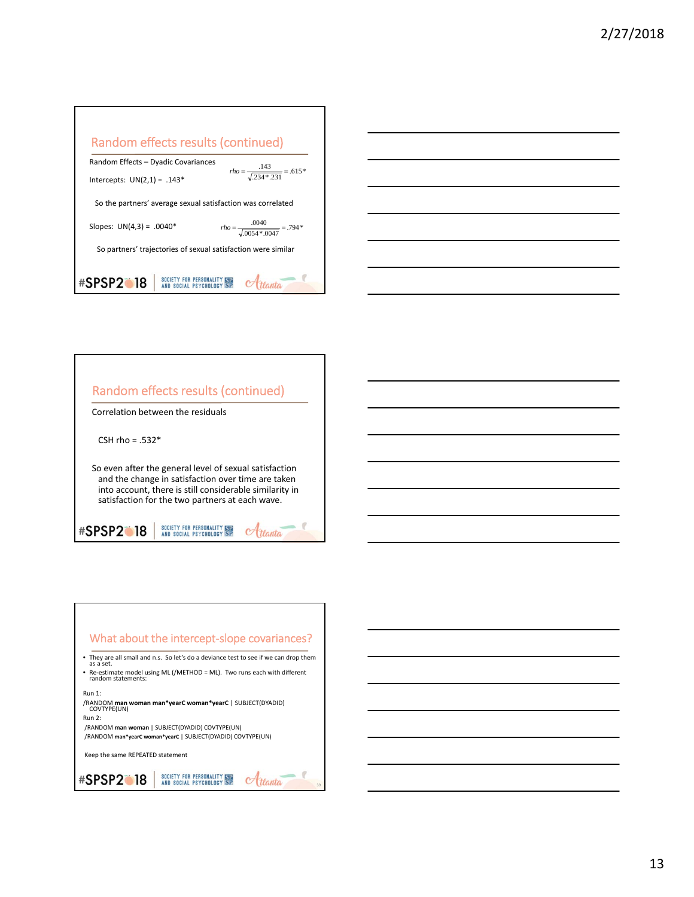| Random effects results (continued)                                               |
|----------------------------------------------------------------------------------|
| Random Effects - Dyadic Covariances                                              |
| $rho = \frac{.143}{\sqrt{.234 * 231}} = .615*$<br>Intercepts: $UN(2,1) = .143*$  |
| So the partners' average sexual satisfaction was correlated                      |
| $rho = \frac{.0040}{\sqrt{.0054 * 0.047}} = .794*$<br>Slopes: $UN(4,3) = .0040*$ |
| So partners' trajectories of sexual satisfaction were similar                    |
| SOCIETY FOR PERSONALITY STE<br><b>#SPSP2</b> 18                                  |



## Random effects results (continued) Correlation between the residuals CSH rho =  $.532*$ So even after the general level of sexual satisfaction and the change in satisfaction over time are taken into account, there is still considerable similarity in satisfaction for the two partners at each wave. SOCIETY FOR PERSONALITY ISLAND SOCIAL PSYCHOLOGY SP **#SPSP2** 18 Hanta

### What about the intercept‐slope covariances? • They are all small and n.s. So let's do <sup>a</sup> deviance test to see if we can drop them as <sup>a</sup> set. • Re‐estimate model using ML (/METHOD <sup>=</sup> ML). Two runs each with different random statements: Run 1: /RANDOM **man woman man\*yearC woman\*yearC** <sup>|</sup> SUBJECT(DYADID) COVTYPE(UN) Run 2: /RANDOM **man woman** | SUBJECT(DYADID) COVTYPE(UN) /RANDOM **man\*yearC woman\*yearC** | SUBJECT(DYADID) COVTYPE(UN) Keep the same REPEATED statement SOCIETY FOR PERSONALITY ISLAND SOCIAL PSYCHOLOGY SP **#SPSP2018** Atlanta 39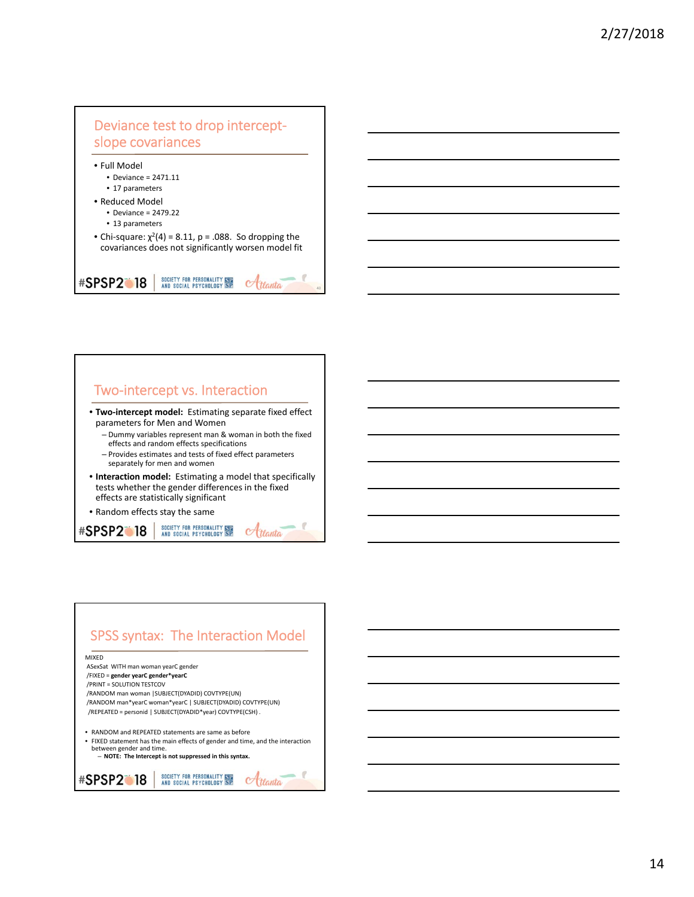

### Two‐intercept vs. Interaction

- **Two‐intercept model:** Estimating separate fixed effect parameters for Men and Women
	- Dummy variables represent man & woman in both the fixed effects and random effects specifications
	- Provides estimates and tests of fixed effect parameters separately for men and women
- **Interaction model:** Estimating a model that specifically tests whether the gender differences in the fixed effects are statistically significant
- Random effects stay the same

SOCIETY FOR PERSONALITY ISLAND SOCIAL PSYCHOLOGY SP *#SPSP2* 18 Atlanta

### SPSS syntax: The Interaction Model MIXED ASexSat WITH man woman yearC gender /FIXED = **gender yearC gender\*yearC** /PRINT = SOLUTION TESTCOV /RANDOM man woman |SUBJECT(DYADID) COVTYPE(UN) /RANDOM man\*yearC woman\*yearC | SUBJECT(DYADID) COVTYPE(UN) /REPEATED = personid | SUBJECT(DYADID\*year) COVTYPE(CSH) . • RANDOM and REPEATED statements are same as before • FIXED statement has the main effects of gender and time, and the interaction between gender and time. – **NOTE: The Intercept is not suppressed in this syntax.** SOCIETY FOR PERSONALITY ISLAND SOCIAL PSYCHOLOGY SP **#SPSP2018**  $\alpha$ ttanta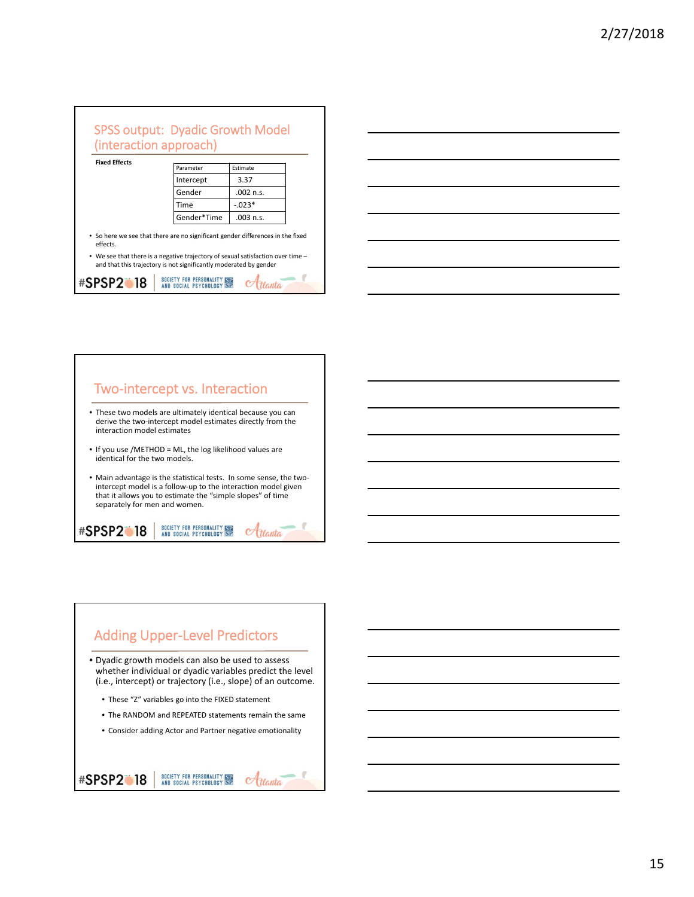| <b>SPSS output: Dyadic Growth Model</b><br>(interaction approach)                                                                                    |                             |             |  |
|------------------------------------------------------------------------------------------------------------------------------------------------------|-----------------------------|-------------|--|
| <b>Fixed Effects</b>                                                                                                                                 | Parameter                   | Estimate    |  |
|                                                                                                                                                      | Intercept                   | 3.37        |  |
|                                                                                                                                                      | Gender                      | $.002$ n.s. |  |
|                                                                                                                                                      | Time                        | $-.023*$    |  |
|                                                                                                                                                      | Gender*Time                 | $.003$ n.s. |  |
| • So here we see that there are no significant gender differences in the fixed<br>effects.                                                           |                             |             |  |
| • We see that there is a negative trajectory of sexual satisfaction over time -<br>and that this trajectory is not significantly moderated by gender |                             |             |  |
| <b>#SPSP2118</b>                                                                                                                                     | SOCIETY FOR PERSONALITY STE |             |  |





# Adding Upper‐Level Predictors

- Dyadic growth models can also be used to assess whether individual or dyadic variables predict the level (i.e., intercept) or trajectory (i.e., slope) of an outcome.
	- These "Z" variables go into the FIXED statement
	- The RANDOM and REPEATED statements remain the same
	- Consider adding Actor and Partner negative emotionality

### SOCIETY FOR PERSONALITY SEE<br>AND SOCIAL PSYCHOLOGY SP **#SPSP2018**  $\alpha$ ttanta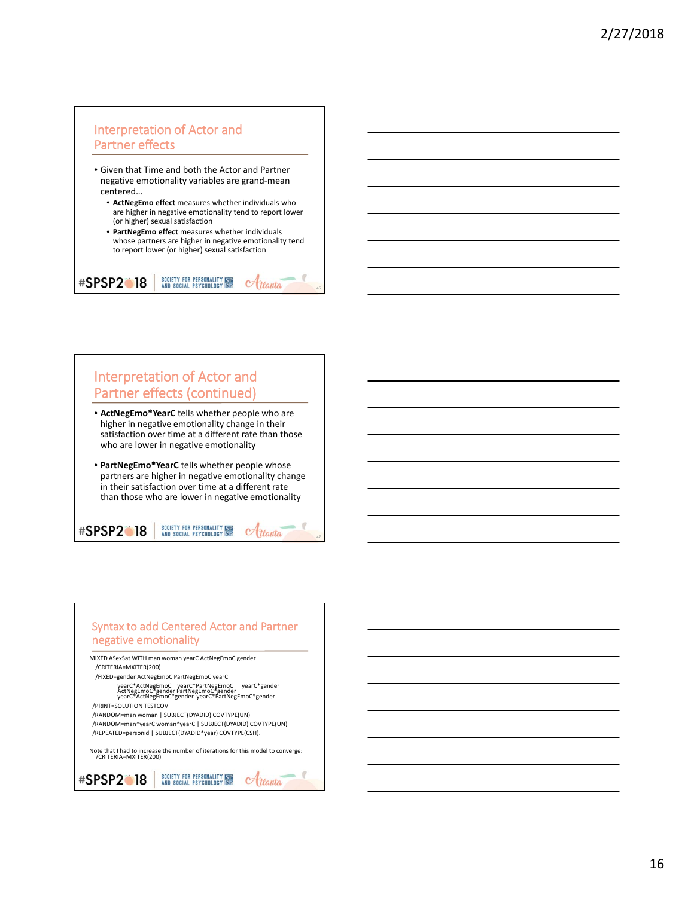### Interpretation of Actor and Partner effects

- Given that Time and both the Actor and Partner negative emotionality variables are grand‐mean centered…
	- **ActNegEmo effect** measures whether individuals who are higher in negative emotionality tend to report lower (or higher) sexual satisfaction
	- **PartNegEmo effect** measures whether individuals whose partners are higher in negative emotionality tend to report lower (or higher) sexual satisfaction

SOCIETY FOR PERSONALITY ISLE<br>AND SOCIAL PSYCHOLOGY SP

**#SPSP2018** 

**#SPSP2118** 

46

 $\alpha$ ttanta

Htlanta

47

## Interpretation of Actor and Partner effects (continued)

- **ActNegEmo\*YearC** tells whether people who are higher in negative emotionality change in their satisfaction over time at a different rate than those who are lower in negative emotionality
- **PartNegEmo\*YearC** tells whether people whose partners are higher in negative emotionality change in their satisfaction over time at a different rate than those who are lower in negative emotionality

SOCIETY FOR PERSONALITY STE<br>AND SOCIAL PSYCHOLOGY SP

### Syntax to add Centered Actor and Partner negative emotionality MIXED ASexSat WITH man woman yearC ActNegEmoC gender /CRITERIA=MXITER(200) /FIXED=gender ActNegEmoC PartNegEmoC yearC yearC\*ActNegEmoC yearC\*PartNegEmoC yearC\*gender ActNegEmoC\*gender PartNegEmoC\*gender yearC\*ActNegEmoC\*gender yearC\*PartNegEmoC\*gender /PRINT=SOLUTION TESTCOV /RANDOM=man woman | SUBJECT(DYADID) COVTYPE(UN) /RANDOM=man\*yearC woman\*yearC | SUBJECT(DYADID) COVTYPE(UN) /REPEATED=personid | SUBJECT(DYADID\*year) COVTYPE(CSH).

Note that <sup>I</sup> had to increase the number of iterations for this model to converge: /CRITERIA=MXITER(200)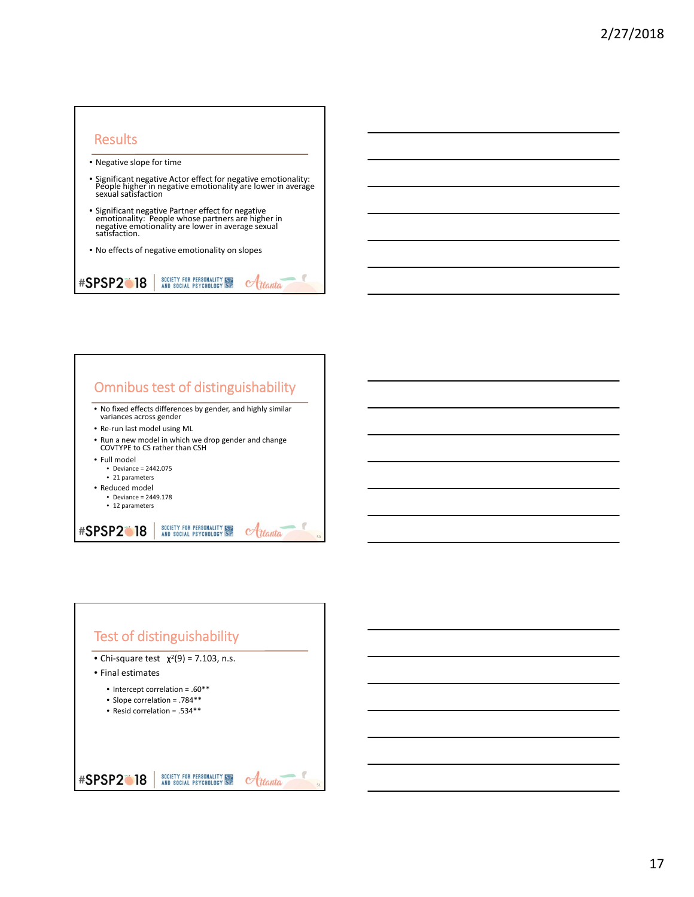### **Results**

- Negative slope for time
- Significant negative Actor effect for negative emotionality: People higher in negative emotionality are lower in average sexual satisfaction
- Significant negative Partner effect for negative emotionality: People whose partners are higher in negative emotionality are lower in average sexual satisfaction.
- No effects of negative emotionality on slopes

SOCIETY FOR PERSONALITY SPE<br>AND SOCIAL PSYCHOLOGY SP **#SPSP2018** Atlanta



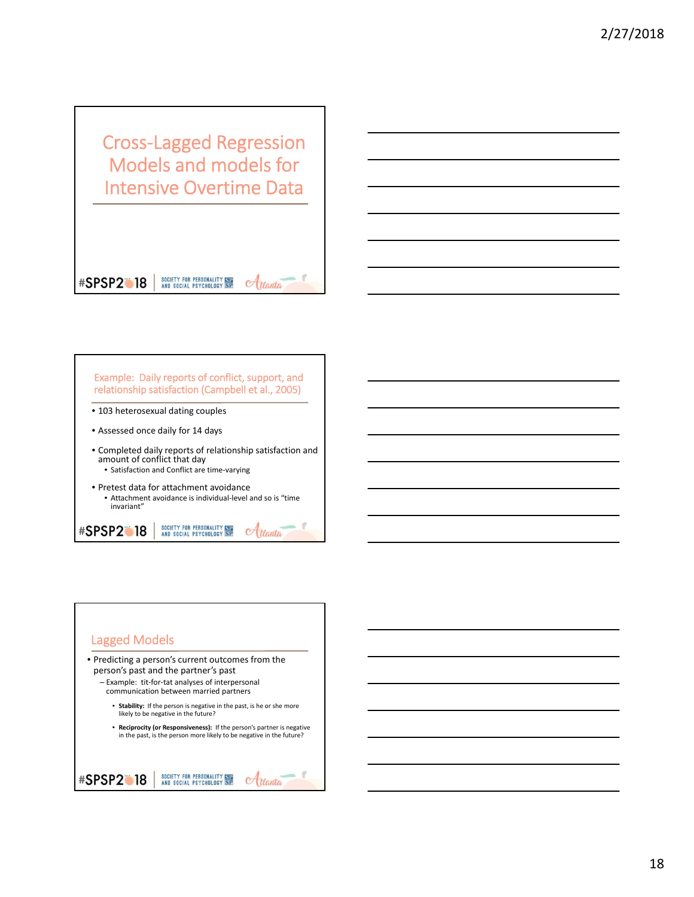Cross‐Lagged Regression Models and models for Intensive Overtime Data

### **#SPSP2018**

**#SPSP2018** 

Example: Daily reports of conflict, support, and relationship satisfaction (Campbell et al., 2005) • 103 heterosexual dating couples • Assessed once daily for 14 days • Completed daily reports of relationship satisfaction and amount of conflict that day • Satisfaction and Conflict are time‐varying • Pretest data for attachment avoidance

SOCIETY FOR PERSONALITY SEE<br>AND SOCIAL PSYCHOLOGY SP

• Attachment avoidance is individual‐level and so is "time invariant"

SOCIETY FOR PERSONALITY ISLE<br>AND SOCIAL PSYCHOLOGY SP

 $C$ tlanta

Atlanta

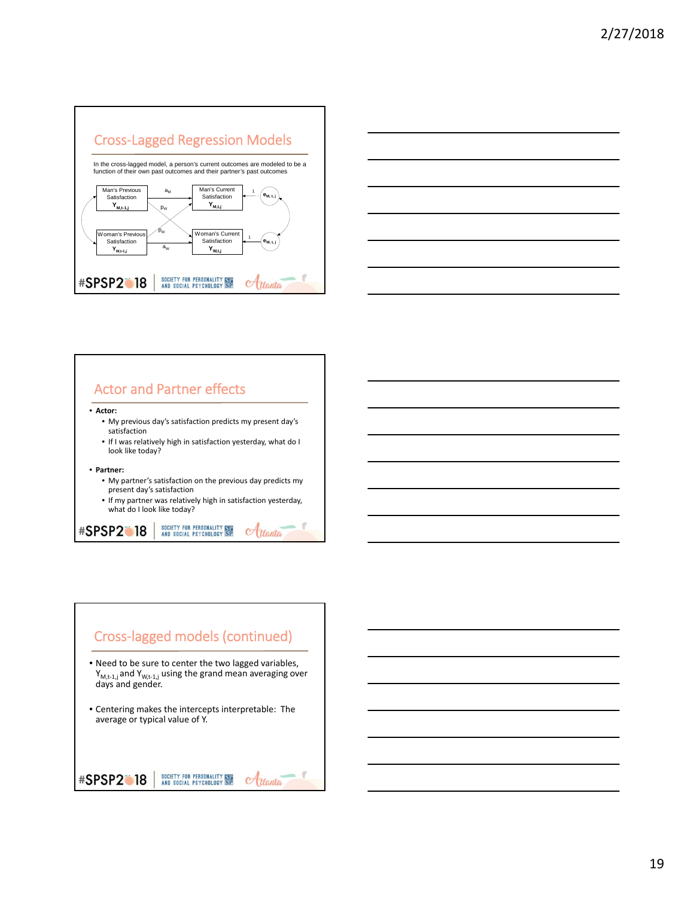







- Need to be sure to center the two lagged variables, Y<sub>M,t-1,j</sub> and Y<sub>W,t-1,j</sub> using the grand mean averaging over<br>days and gender.
- Centering makes the intercepts interpretable: The average or typical value of Y.

SOCIETY FOR PERSONALITY ISLAND SOCIAL PSYCHOLOGY SP **#SPSP2018**  $\alpha$ ttanta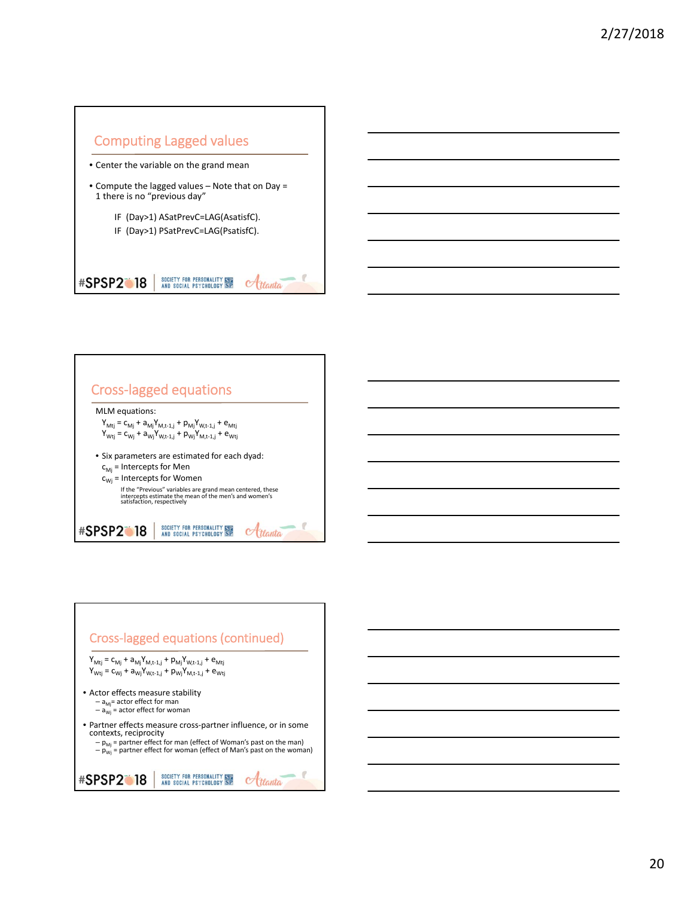



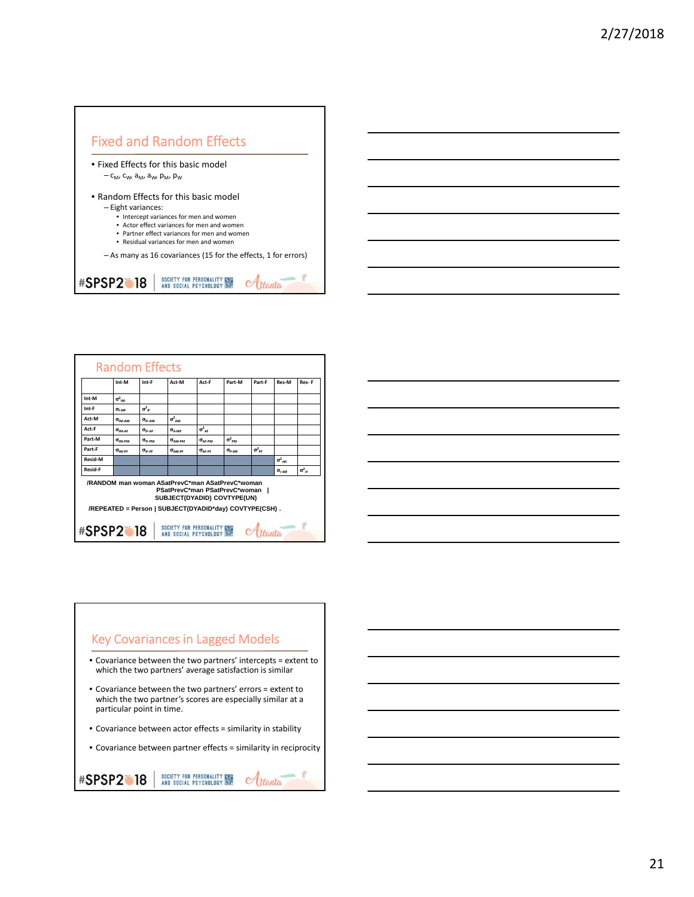

|                | Int-M                          | Int-F                          | Act-M                                                                                                             | Act-F                   | Part-M                                                 | Part-F                 | Res-M                     | Res-F                          |
|----------------|--------------------------------|--------------------------------|-------------------------------------------------------------------------------------------------------------------|-------------------------|--------------------------------------------------------|------------------------|---------------------------|--------------------------------|
| Int-M          | $\sigma^2_{\text{max}}$        |                                |                                                                                                                   |                         |                                                        |                        |                           |                                |
| Int-F          | $\sigma_{\text{LAGE}}$         | $\sigma_{\text{IF}}^2$         |                                                                                                                   |                         |                                                        |                        |                           |                                |
| Act-M          | $\sigma$ <sub>19.4</sub> , and | $\sigma$ <sub>IF-AM</sub>      | $\sigma^2_{\ \ \Delta M}$                                                                                         |                         |                                                        |                        |                           |                                |
| Act-F          | $\sigma$ <sub>IM-AE</sub>      | $\sigma_{\text{IF-AF}}$        | $\sigma$ <sub>A-MF</sub>                                                                                          | $\sigma^2_{\ \rm AF}$   |                                                        |                        |                           |                                |
| Part-M         | $\sigma$ <sub>IM-PM</sub>      | $\sigma_{\text{IF-PM}}$        | $\sigma$ <sub>AM-PM</sub>                                                                                         | $\sigma_{\text{AF-PM}}$ | $\sigma^2$ <sub>PM</sub>                               |                        |                           |                                |
| Part-F         | $\sigma_{\text{IM-PF}}$        | $\sigma_{\text{\tiny{IF-PF}}}$ | $\sigma$ <sub>AM-PF</sub>                                                                                         | $\sigma_{\text{AF-PF}}$ | $\sigma_{\text{\tiny{P-MF}}}$                          | $\sigma_{\text{pr}}^2$ |                           |                                |
| <b>Resid-M</b> |                                |                                |                                                                                                                   |                         |                                                        |                        | $\sigma^2_{rM}$           |                                |
| <b>Resid-F</b> |                                |                                |                                                                                                                   |                         |                                                        |                        | $\sigma$ <sub>c</sub> $A$ | $\sigma^2_{\phantom{2}\sigma}$ |
|                |                                |                                | /RANDOM man woman ASatPrevC*man ASatPrevC*woman<br>PSatPrevC*man PSatPrevC*woman  <br>SUBJECT(DYADID) COVTYPE(UN) |                         | /REPEATED = Person   SUBJECT(DYADID*day) COVTYPE(CSH). |                        |                           |                                |

|  | <u> 1989 - Johann Stoff, Amerikaansk politiker († 1908)</u>                                                            |  |
|--|------------------------------------------------------------------------------------------------------------------------|--|
|  | <u> 1989 - Johann Stoff, deutscher Stoff, der Stoff, der Stoff, der Stoff, der Stoff, der Stoff, der Stoff, der S</u>  |  |
|  | <u> 1989 - Johann Stoff, deutscher Stoff, der Stoff, der Stoff, der Stoff, der Stoff, der Stoff, der Stoff, der S</u>  |  |
|  | <u> 1989 - Johann Barn, mars ann an t-Amhain ann an t-Amhain ann an t-Amhain ann an t-Amhain an t-Amhain ann an t-</u> |  |
|  | <u> 1989 - Johann Stoff, amerikansk politiker (d. 1989)</u>                                                            |  |
|  |                                                                                                                        |  |
|  | <u> 1989 - Johann Stoff, amerikansk politiker (d. 1989)</u>                                                            |  |

### Key Covariances in Lagged Models

- Covariance between the two partners' intercepts = extent to which the two partners' average satisfaction is similar
- Covariance between the two partners' errors = extent to which the two partner's scores are especially similar at a particular point in time.
- Covariance between actor effects = similarity in stability
- Covariance between partner effects = similarity in reciprocity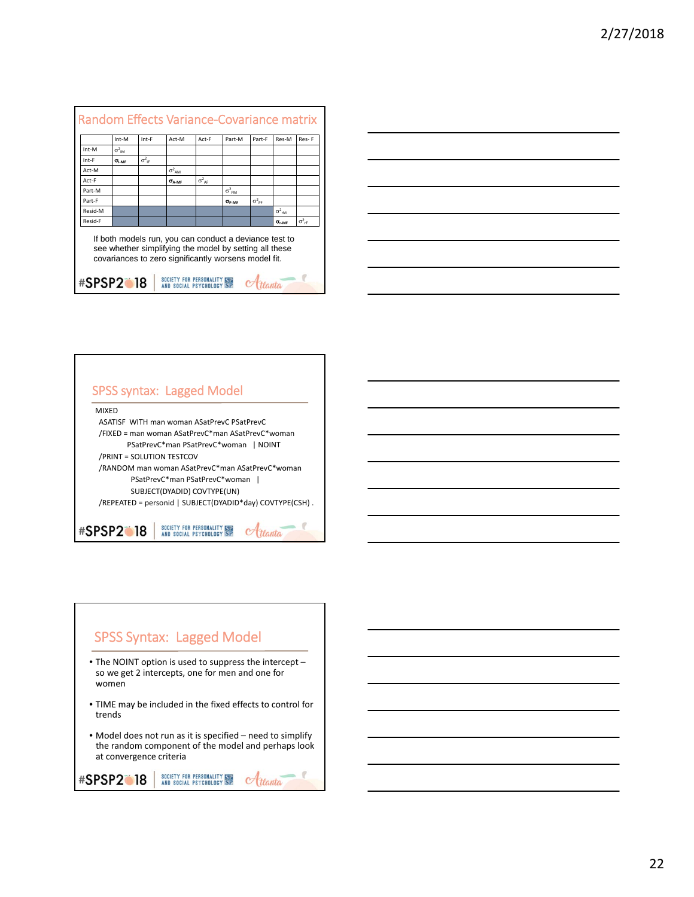| $\sigma^2_{\phantom{2} \mathsf{IM}}$ |                          |                          |                          |                        |                        |                          |                                                        |
|--------------------------------------|--------------------------|--------------------------|--------------------------|------------------------|------------------------|--------------------------|--------------------------------------------------------|
|                                      |                          |                          |                          |                        |                        |                          |                                                        |
| $\sigma_{LME}$                       | $\sigma^2$ <sub>IF</sub> |                          |                          |                        |                        |                          |                                                        |
|                                      |                          | $\sigma^2$ <sub>AM</sub> |                          |                        |                        |                          |                                                        |
|                                      |                          | $\sigma$ <sub>A-MF</sub> | $\sigma^2$ <sub>AF</sub> |                        |                        |                          |                                                        |
|                                      |                          |                          |                          | $\sigma^2_{\text{DM}}$ |                        |                          |                                                        |
|                                      |                          |                          |                          | $\sigma_{\text{p.MF}}$ | $\sigma_{\text{de}}^2$ |                          |                                                        |
|                                      |                          |                          |                          |                        |                        | $\sigma^2$ <sub>rM</sub> |                                                        |
|                                      |                          |                          |                          |                        |                        | $\sigma_{\text{r-MF}}$   | $\sigma^2$ <sub>rF</sub>                               |
|                                      |                          |                          |                          |                        |                        |                          | If both models run, you can conduct a deviance test to |





# SPSS Syntax: Lagged Model

- The NOINT option is used to suppress the intercept so we get 2 intercepts, one for men and one for women
- TIME may be included in the fixed effects to control for trends
- Model does not run as it is specified need to simplify the random component of the model and perhaps look at convergence criteria

```
SOCIETY FOR PERSONALITY ISLAND SOCIAL PSYCHOLOGY SP
#SPSP2018
                                                             \alphattanta
```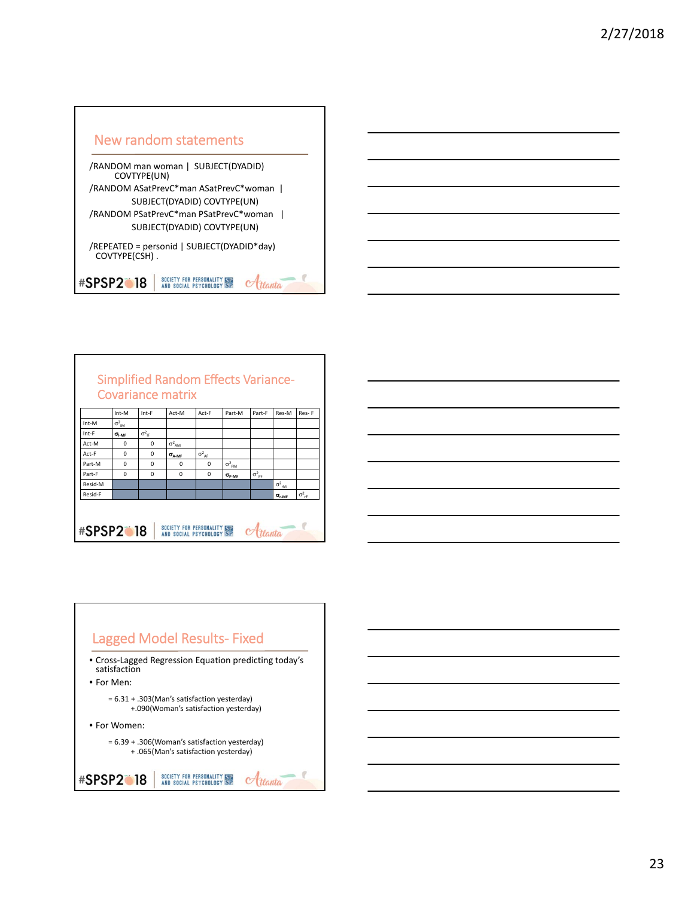



|                                                 | <b>Covariance matrix</b>      |                          |                          | <b>Simplified Random Effects Variance-</b> |                          |                          |                          |                          |
|-------------------------------------------------|-------------------------------|--------------------------|--------------------------|--------------------------------------------|--------------------------|--------------------------|--------------------------|--------------------------|
|                                                 | Int-M                         | Int-F                    | Act-M                    | Act-F                                      | Part-M                   | Part-F                   | Res-M                    | Res-F                    |
| Int-M                                           | $\sigma^2_{IM}$               |                          |                          |                                            |                          |                          |                          |                          |
| Int-F                                           | $\sigma_{\text{\tiny{I-MF}}}$ | $\sigma^2$ <sub>IF</sub> |                          |                                            |                          |                          |                          |                          |
| Act-M                                           | $\Omega$                      | $\Omega$                 | $\sigma^2$ <sub>AM</sub> |                                            |                          |                          |                          |                          |
| Act-F                                           | $\Omega$                      | $\Omega$                 | $\sigma$ <sub>A-MF</sub> | $\sigma^2$ <sub>AF</sub>                   |                          |                          |                          |                          |
| Part-M                                          | $\Omega$                      | $\Omega$                 | $\Omega$                 | $\Omega$                                   | $\sigma^2$ <sub>PM</sub> |                          |                          |                          |
| Part-F                                          | $\Omega$                      | $\Omega$                 | $\Omega$                 | $\Omega$                                   | $\sigma_{\text{P-MF}}$   | $\sigma^2$ <sub>PF</sub> |                          |                          |
| Resid-M                                         |                               |                          |                          |                                            |                          |                          | $\sigma^2$ <sub>rM</sub> |                          |
| Resid-F                                         |                               |                          |                          |                                            |                          |                          | $\sigma_{\text{r-MF}}$   | $\sigma^2$ <sub>rF</sub> |
| SOCIETY FOR PERSONALITY STE<br><b>#SPSP2018</b> |                               |                          |                          |                                            |                          |                          |                          |                          |



# Lagged Model Results‐ Fixed

• Cross‐Lagged Regression Equation predicting today's satisfaction

• For Men:

= 6.31 + .303(Man's satisfaction yesterday) +.090(Woman's satisfaction yesterday)

• For Women:

= 6.39 + .306(Woman's satisfaction yesterday)

+ .065(Man's satisfaction yesterday)

### SOCIETY FOR PERSONALITY ISLE<br>AND SOCIAL PSYCHOLOGY SP **#SPSP2018** Atlanta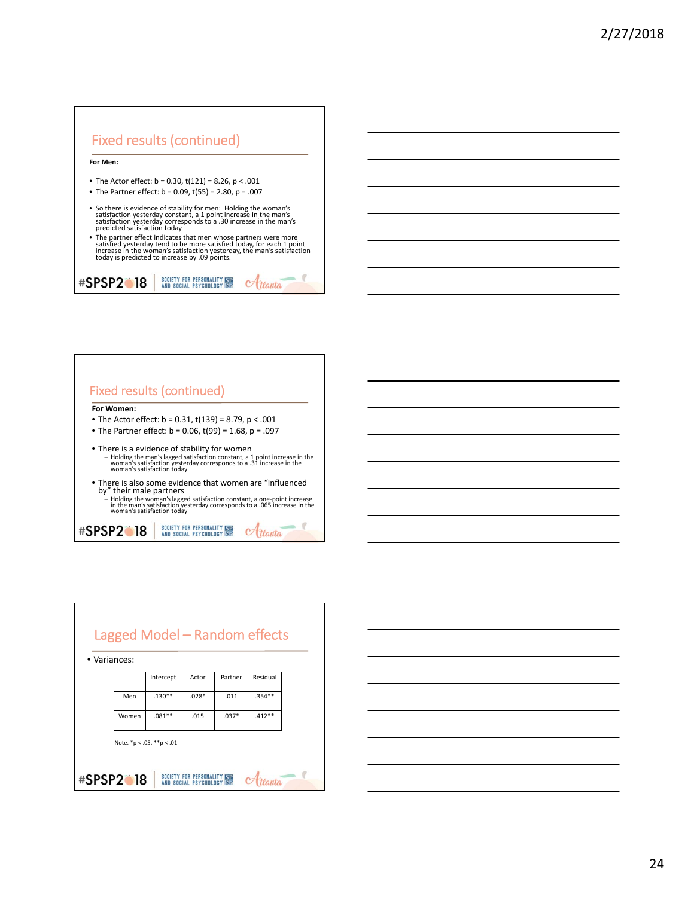



|              |                  | Lagged Model - Random effects |                                                  |         |          |  |
|--------------|------------------|-------------------------------|--------------------------------------------------|---------|----------|--|
| • Variances: |                  |                               |                                                  |         |          |  |
|              |                  | Intercept                     | Actor                                            | Partner | Residual |  |
|              | Men              | $.130**$                      | $.028*$                                          | .011    | $.354**$ |  |
|              | Women            | $.081**$                      | .015                                             | $.037*$ | $.412**$ |  |
|              |                  | Note. *p < .05, **p < .01     |                                                  |         |          |  |
|              | <b>#SPSP2018</b> |                               | SOCIETY FOR PERSONALITY<br>AND SOCIAL PSYCHOLOGY |         |          |  |

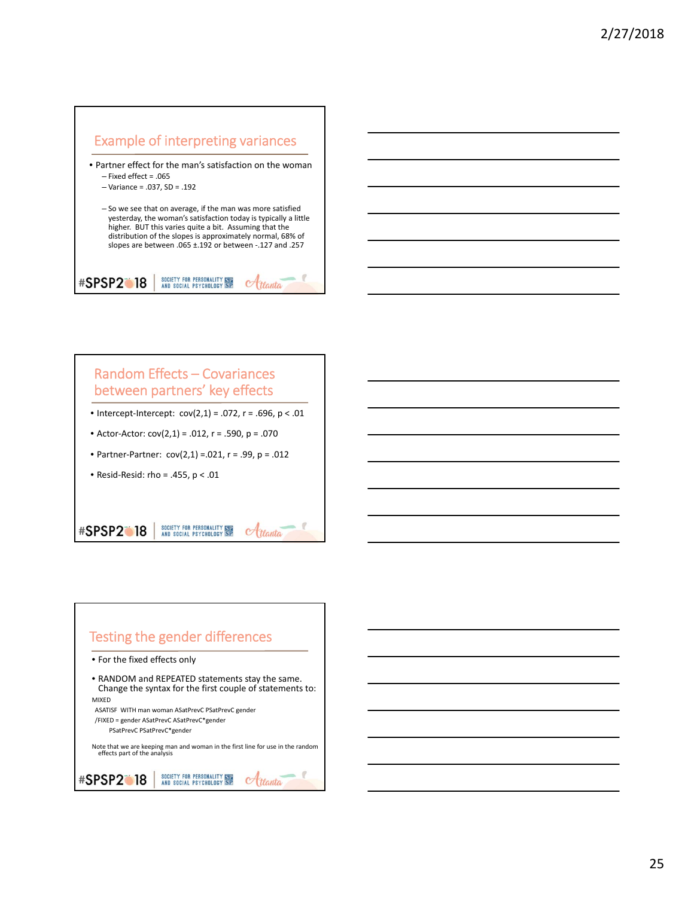



### Random Effects – Covariances between partners' key effects

- Intercept-Intercept:  $cov(2,1) = .072$ ,  $r = .696$ ,  $p < .01$
- Actor‐Actor: cov(2,1) = .012, r = .590, p = .070
- Partner‐Partner: cov(2,1) =.021, r = .99, p = .012
- Resid‐Resid: rho = .455, p < .01

### SOCIETY FOR PERSONALITY SEE<br>AND SOCIAL PSYCHOLOGY SP **#SPSP2018** Hanta

# Testing the gender differences

• For the fixed effects only

### • RANDOM and REPEATED statements stay the same. Change the syntax for the first couple of statements to: MIXED

ASATISF WITH man woman ASatPrevC PSatPrevC gender

/FIXED = gender ASatPrevC ASatPrevC\*gender PSatPrevC PSatPrevC\*gender

Note that we are keeping man and woman in the first line for use in the random effects part of the analysis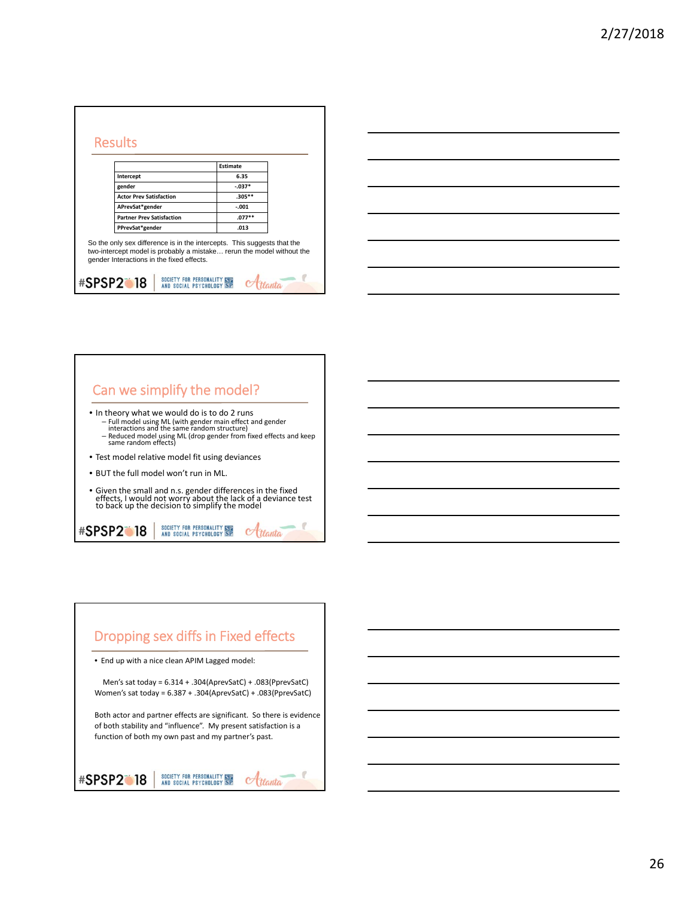|                                                                                                                                                                                               | <b>Estimate</b> |  |
|-----------------------------------------------------------------------------------------------------------------------------------------------------------------------------------------------|-----------------|--|
| Intercept                                                                                                                                                                                     | 6.35            |  |
| gender                                                                                                                                                                                        | $-.037*$        |  |
| <b>Actor Prev Satisfaction</b>                                                                                                                                                                | $.305***$       |  |
| APrevSat*gender                                                                                                                                                                               | $-.001$         |  |
| <b>Partner Prev Satisfaction</b>                                                                                                                                                              | $.077**$        |  |
| PPrevSat*gender                                                                                                                                                                               | .013            |  |
| So the only sex difference is in the intercepts. This suggests that the<br>two-intercept model is probably a mistake rerun the model without the<br>gender Interactions in the fixed effects. |                 |  |





# Dropping sex diffs in Fixed effects • End up with a nice clean APIM Lagged model:

Women's sat today = 6.387 + .304(AprevSatC) + .083(PprevSatC) Both actor and partner effects are significant. So there is evidence of both stability and "influence". My present satisfaction is a

 $\alpha$ ttanta

Men's sat today = 6.314 + .304(AprevSatC) + .083(PprevSatC)

SOCIETY FOR PERSONALITY NEW **#SPSP2018** 

function of both my own past and my partner's past.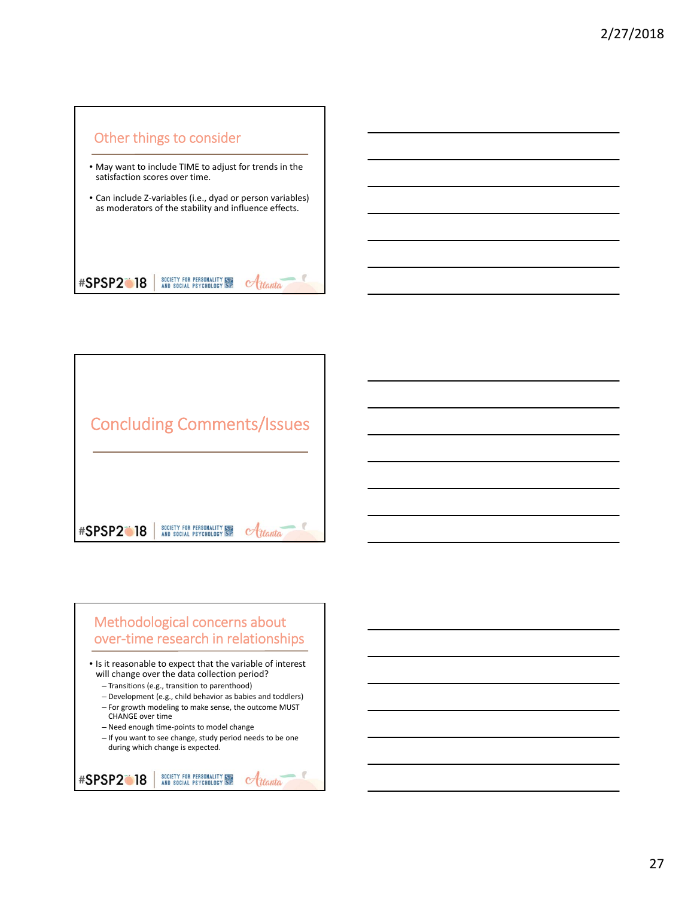



# Methodological concerns about over-time research in relationships

• Is it reasonable to expect that the variable of interest will change over the data collection period?

- Transitions (e.g., transition to parenthood)
- Development (e.g., child behavior as babies and toddlers)
- For growth modeling to make sense, the outcome MUST CHANGE over time

– Need enough time‐points to model change

– If you want to see change, study period needs to be one during which change is expected.

```
SOCIETY FOR PERSONALITY ISLAND SOCIAL PSYCHOLOGY SP
#SPSP2018
                                                        Hanta
```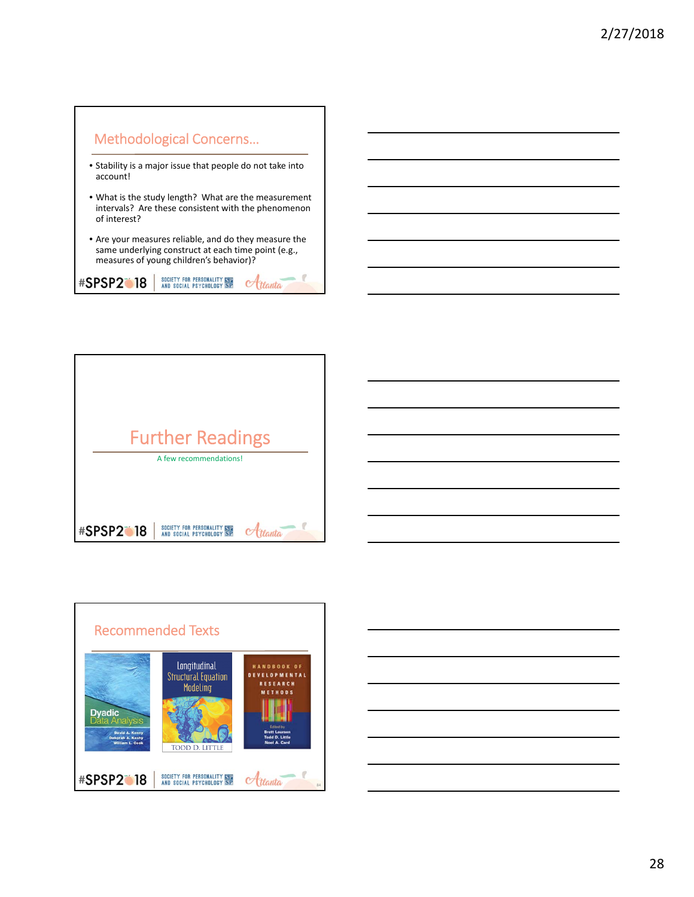

- Stability is a major issue that people do not take into account!
- What is the study length? What are the measurement intervals? Are these consistent with the phenomenon of interest?
- Are your measures reliable, and do they measure the same underlying construct at each time point (e.g., measures of young children's behavior)?

Atlanta

SOCIETY FOR PERSONALITY STE<br>AND SOCIAL PSYCHOLOGY SP **#SPSP2018**